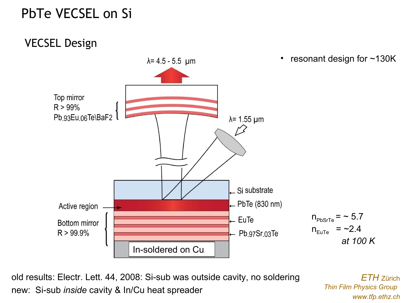## PbTe VECSEL on Si

#### VECSEL Design



old results: Electr. Lett. 44, 2008: Si-sub was outside cavity, no soldering new: Si-sub *inside* cavity & In/Cu heat spreader

*ETH* Zürich *Thin Film Physics Group www.tfp.ethz.ch*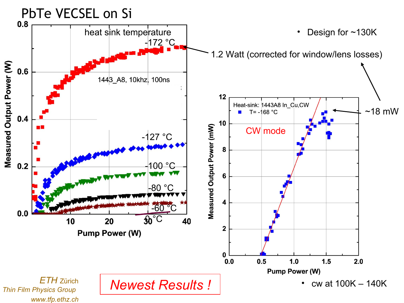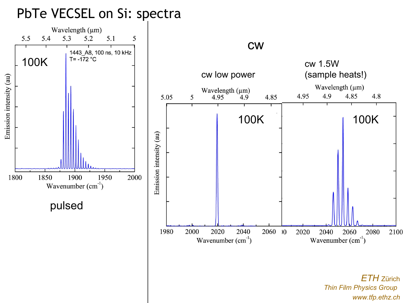#### PbTe VECSEL on Si: spectra

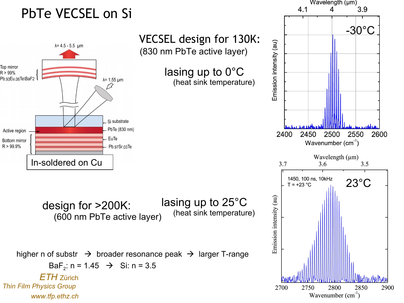# PbTe VECSEL on Si



Wavelength (µm)

Δ

3.9

 $4.1$